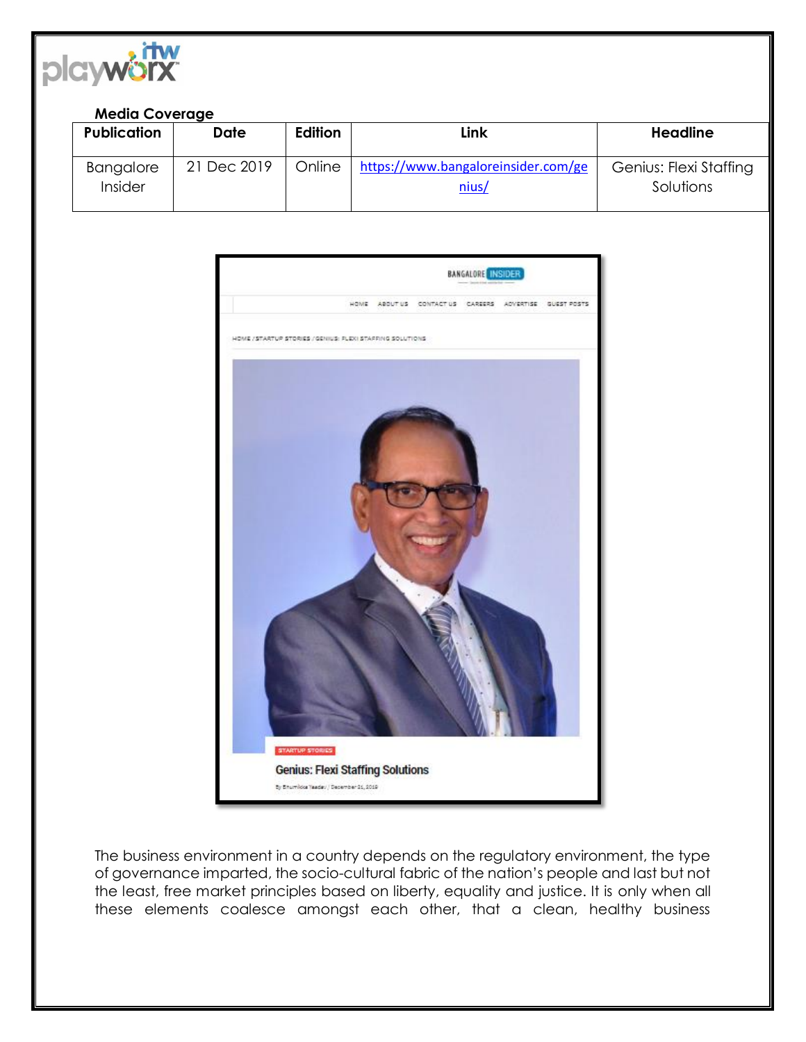

## **Media Coverage**

|  | <b>Publication</b>   | Date        | <b>Edition</b> | Link                                         | <b>Headline</b>                     |
|--|----------------------|-------------|----------------|----------------------------------------------|-------------------------------------|
|  | Bangalore<br>Insider | 21 Dec 2019 | Online         | https://www.bangaloreinsider.com/ge<br>nius/ | Genius: Flexi Staffing<br>Solutions |



The business environment in a country depends on the regulatory environment, the type of governance imparted, the socio-cultural fabric of the nation's people and last but not the least, free market principles based on liberty, equality and justice. It is only when all these elements coalesce amongst each other, that a clean, healthy business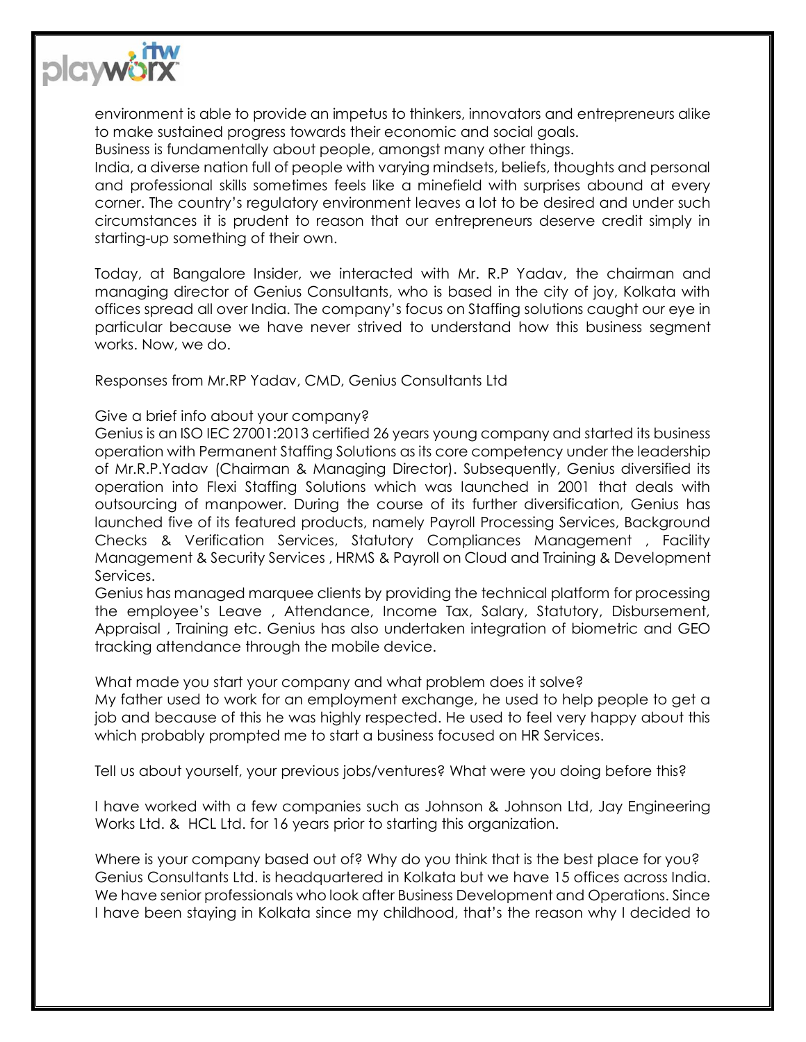

environment is able to provide an impetus to thinkers, innovators and entrepreneurs alike to make sustained progress towards their economic and social goals.

Business is fundamentally about people, amongst many other things.

India, a diverse nation full of people with varying mindsets, beliefs, thoughts and personal and professional skills sometimes feels like a minefield with surprises abound at every corner. The country's regulatory environment leaves a lot to be desired and under such circumstances it is prudent to reason that our entrepreneurs deserve credit simply in starting-up something of their own.

Today, at Bangalore Insider, we interacted with Mr. R.P Yadav, the chairman and managing director of Genius Consultants, who is based in the city of joy, Kolkata with offices spread all over India. The company's focus on Staffing solutions caught our eye in particular because we have never strived to understand how this business segment works. Now, we do.

Responses from Mr.RP Yadav, CMD, Genius Consultants Ltd

## Give a brief info about your company?

Genius is an ISO IEC 27001:2013 certified 26 years young company and started its business operation with Permanent Staffing Solutions as its core competency under the leadership of Mr.R.P.Yadav (Chairman & Managing Director). Subsequently, Genius diversified its operation into Flexi Staffing Solutions which was launched in 2001 that deals with outsourcing of manpower. During the course of its further diversification, Genius has launched five of its featured products, namely Payroll Processing Services, Background Checks & Verification Services, Statutory Compliances Management , Facility Management & Security Services , HRMS & Payroll on Cloud and Training & Development Services.

Genius has managed marquee clients by providing the technical platform for processing the employee's Leave , Attendance, Income Tax, Salary, Statutory, Disbursement, Appraisal , Training etc. Genius has also undertaken integration of biometric and GEO tracking attendance through the mobile device.

What made you start your company and what problem does it solve?

My father used to work for an employment exchange, he used to help people to get a job and because of this he was highly respected. He used to feel very happy about this which probably prompted me to start a business focused on HR Services.

Tell us about yourself, your previous jobs/ventures? What were you doing before this?

I have worked with a few companies such as Johnson & Johnson Ltd, Jay Engineering Works Ltd. & HCL Ltd. for 16 years prior to starting this organization.

Where is your company based out of? Why do you think that is the best place for you? Genius Consultants Ltd. is headquartered in Kolkata but we have 15 offices across India. We have senior professionals who look after Business Development and Operations. Since I have been staying in Kolkata since my childhood, that's the reason why I decided to